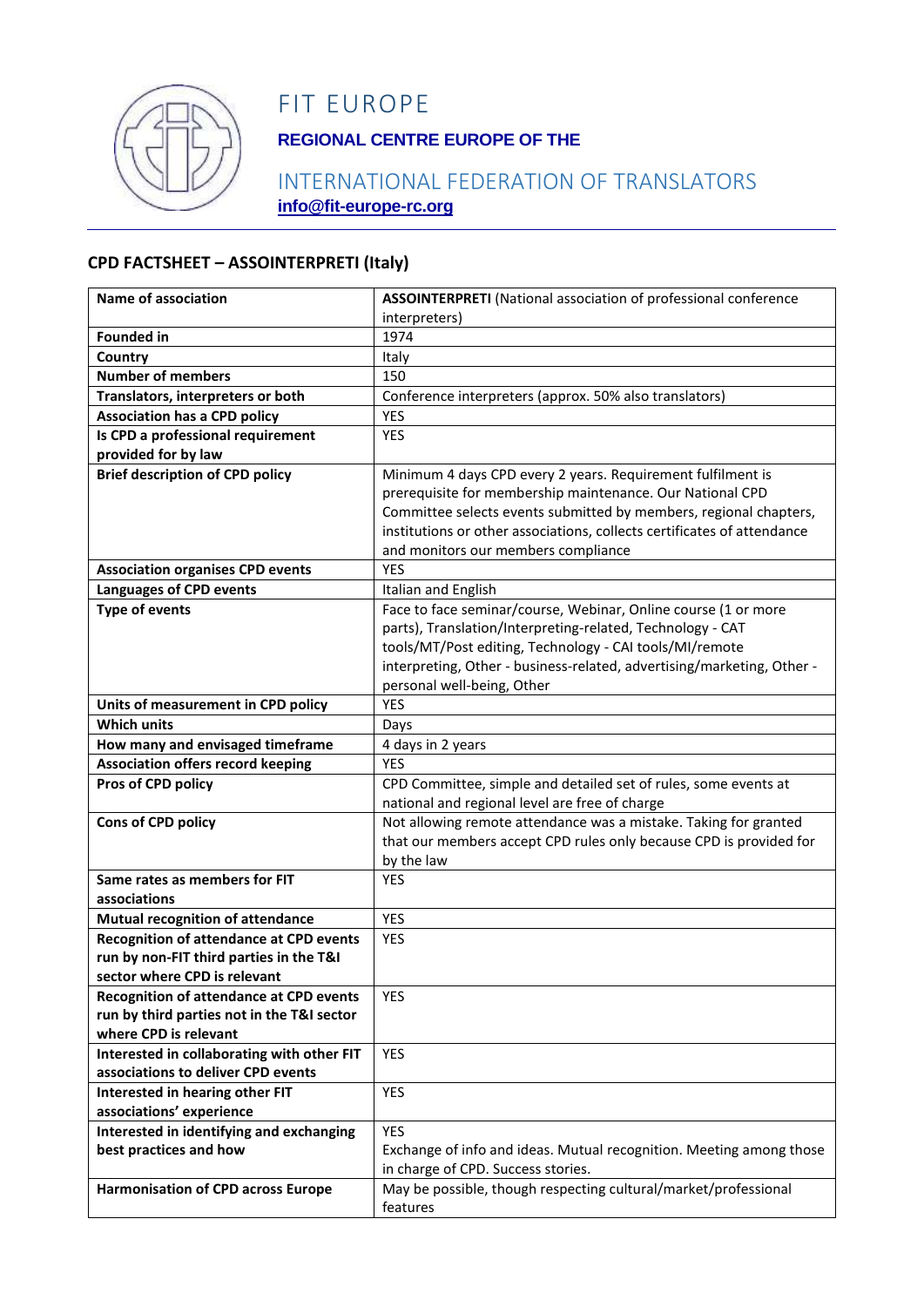

## FIT EUROPE

## **REGIONAL CENTRE EUROPE OF THE**

### INTERNATIONAL FEDERATION OF TRANSLATORS **info@fit-europe-rc.org**

#### **CPD FACTSHEET – ASSOINTERPRETI (Italy)**

| Name of association                                                 | <b>ASSOINTERPRETI</b> (National association of professional conference  |
|---------------------------------------------------------------------|-------------------------------------------------------------------------|
|                                                                     | interpreters)                                                           |
| <b>Founded in</b>                                                   | 1974                                                                    |
| Country                                                             | Italy                                                                   |
| <b>Number of members</b>                                            | 150                                                                     |
| Translators, interpreters or both                                   | Conference interpreters (approx. 50% also translators)                  |
| <b>Association has a CPD policy</b>                                 | YES                                                                     |
| Is CPD a professional requirement                                   | <b>YES</b>                                                              |
| provided for by law                                                 |                                                                         |
| <b>Brief description of CPD policy</b>                              | Minimum 4 days CPD every 2 years. Requirement fulfilment is             |
|                                                                     | prerequisite for membership maintenance. Our National CPD               |
|                                                                     | Committee selects events submitted by members, regional chapters,       |
|                                                                     | institutions or other associations, collects certificates of attendance |
|                                                                     | and monitors our members compliance                                     |
| <b>Association organises CPD events</b>                             | <b>YES</b>                                                              |
| <b>Languages of CPD events</b>                                      | Italian and English                                                     |
| <b>Type of events</b>                                               | Face to face seminar/course, Webinar, Online course (1 or more          |
|                                                                     | parts), Translation/Interpreting-related, Technology - CAT              |
|                                                                     | tools/MT/Post editing, Technology - CAI tools/MI/remote                 |
|                                                                     | interpreting, Other - business-related, advertising/marketing, Other -  |
|                                                                     | personal well-being, Other                                              |
| Units of measurement in CPD policy                                  | <b>YES</b>                                                              |
| <b>Which units</b>                                                  | Days                                                                    |
| How many and envisaged timeframe                                    | 4 days in 2 years                                                       |
| <b>Association offers record keeping</b>                            | <b>YES</b>                                                              |
| Pros of CPD policy                                                  | CPD Committee, simple and detailed set of rules, some events at         |
|                                                                     | national and regional level are free of charge                          |
| Cons of CPD policy                                                  | Not allowing remote attendance was a mistake. Taking for granted        |
|                                                                     | that our members accept CPD rules only because CPD is provided for      |
|                                                                     | by the law                                                              |
| Same rates as members for FIT                                       | <b>YES</b>                                                              |
| associations                                                        |                                                                         |
| <b>Mutual recognition of attendance</b>                             | <b>YES</b>                                                              |
| <b>Recognition of attendance at CPD events</b>                      | <b>YES</b>                                                              |
| run by non-FIT third parties in the T&I                             |                                                                         |
| sector where CPD is relevant                                        |                                                                         |
| <b>Recognition of attendance at CPD events</b>                      | <b>YES</b>                                                              |
| run by third parties not in the T&I sector<br>where CPD is relevant |                                                                         |
| Interested in collaborating with other FIT                          | YES                                                                     |
| associations to deliver CPD events                                  |                                                                         |
| Interested in hearing other FIT                                     | <b>YES</b>                                                              |
| associations' experience                                            |                                                                         |
| Interested in identifying and exchanging                            | <b>YES</b>                                                              |
| best practices and how                                              | Exchange of info and ideas. Mutual recognition. Meeting among those     |
|                                                                     | in charge of CPD. Success stories.                                      |
| <b>Harmonisation of CPD across Europe</b>                           | May be possible, though respecting cultural/market/professional         |
|                                                                     | features                                                                |
|                                                                     |                                                                         |